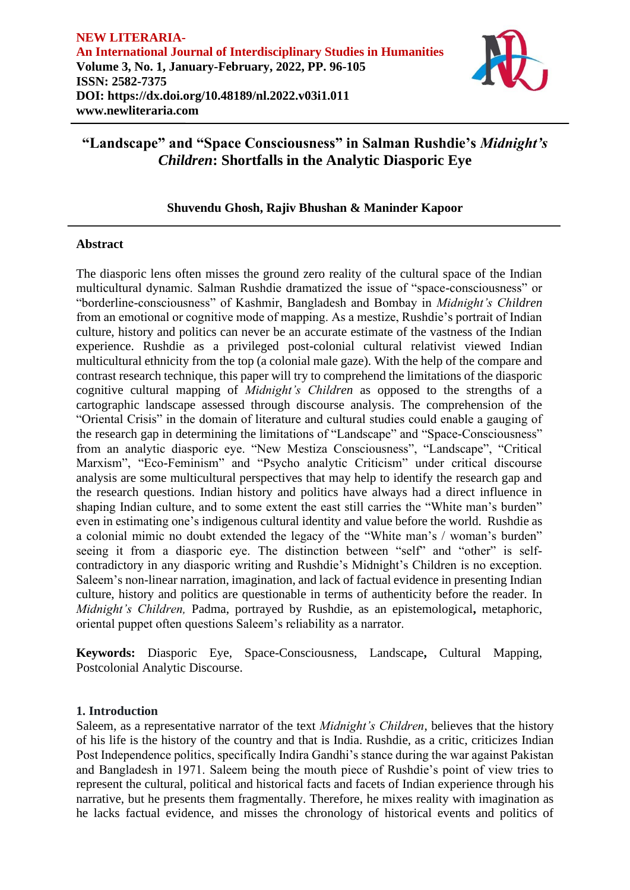

# **Shuvendu Ghosh, Rajiv Bhushan & Maninder Kapoor**

## **Abstract**

The diasporic lens often misses the ground zero reality of the cultural space of the Indian multicultural dynamic. Salman Rushdie dramatized the issue of "space-consciousness" or "borderline-consciousness" of Kashmir, Bangladesh and Bombay in *Midnight's Children* from an emotional or cognitive mode of mapping. As a mestize, Rushdie's portrait of Indian culture, history and politics can never be an accurate estimate of the vastness of the Indian experience. Rushdie as a privileged post-colonial cultural relativist viewed Indian multicultural ethnicity from the top (a colonial male gaze). With the help of the compare and contrast research technique, this paper will try to comprehend the limitations of the diasporic cognitive cultural mapping of *Midnight's Children* as opposed to the strengths of a cartographic landscape assessed through discourse analysis. The comprehension of the "Oriental Crisis" in the domain of literature and cultural studies could enable a gauging of the research gap in determining the limitations of "Landscape" and "Space-Consciousness" from an analytic diasporic eye. "New Mestiza Consciousness", "Landscape", "Critical Marxism", "Eco-Feminism" and "Psycho analytic Criticism" under critical discourse analysis are some multicultural perspectives that may help to identify the research gap and the research questions. Indian history and politics have always had a direct influence in shaping Indian culture, and to some extent the east still carries the "White man's burden" even in estimating one's indigenous cultural identity and value before the world. Rushdie as a colonial mimic no doubt extended the legacy of the "White man's / woman's burden" seeing it from a diasporic eye. The distinction between "self" and "other" is selfcontradictory in any diasporic writing and Rushdie's Midnight's Children is no exception. Saleem's non-linear narration, imagination, and lack of factual evidence in presenting Indian culture, history and politics are questionable in terms of authenticity before the reader. In *Midnight's Children,* Padma, portrayed by Rushdie, as an epistemological**,** metaphoric, oriental puppet often questions Saleem's reliability as a narrator.

**Keywords:** Diasporic Eye, Space-Consciousness, Landscape**,** Cultural Mapping, Postcolonial Analytic Discourse.

## **1. Introduction**

Saleem, as a representative narrator of the text *Midnight's Children*, believes that the history of his life is the history of the country and that is India. Rushdie, as a critic, criticizes Indian Post Independence politics, specifically Indira Gandhi's stance during the war against Pakistan and Bangladesh in 1971. Saleem being the mouth piece of Rushdie's point of view tries to represent the cultural, political and historical facts and facets of Indian experience through his narrative, but he presents them fragmentally. Therefore, he mixes reality with imagination as he lacks factual evidence, and misses the chronology of historical events and politics of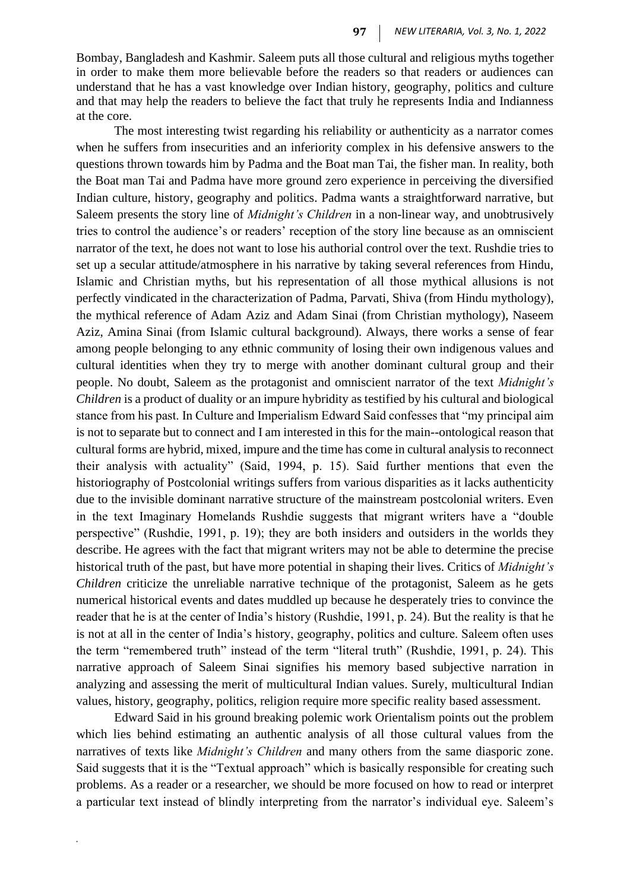Bombay, Bangladesh and Kashmir. Saleem puts all those cultural and religious myths together in order to make them more believable before the readers so that readers or audiences can understand that he has a vast knowledge over Indian history, geography, politics and culture and that may help the readers to believe the fact that truly he represents India and Indianness at the core.

The most interesting twist regarding his reliability or authenticity as a narrator comes when he suffers from insecurities and an inferiority complex in his defensive answers to the questions thrown towards him by Padma and the Boat man Tai, the fisher man. In reality, both the Boat man Tai and Padma have more ground zero experience in perceiving the diversified Indian culture, history, geography and politics. Padma wants a straightforward narrative, but Saleem presents the story line of *Midnight's Children* in a non-linear way, and unobtrusively tries to control the audience's or readers' reception of the story line because as an omniscient narrator of the text, he does not want to lose his authorial control over the text. Rushdie tries to set up a secular attitude/atmosphere in his narrative by taking several references from Hindu, Islamic and Christian myths, but his representation of all those mythical allusions is not perfectly vindicated in the characterization of Padma, Parvati, Shiva (from Hindu mythology), the mythical reference of Adam Aziz and Adam Sinai (from Christian mythology), Naseem Aziz, Amina Sinai (from Islamic cultural background). Always, there works a sense of fear among people belonging to any ethnic community of losing their own indigenous values and cultural identities when they try to merge with another dominant cultural group and their people. No doubt, Saleem as the protagonist and omniscient narrator of the text *Midnight's Children* is a product of duality or an impure hybridity as testified by his cultural and biological stance from his past. In Culture and Imperialism Edward Said confesses that "my principal aim is not to separate but to connect and I am interested in this for the main--ontological reason that cultural forms are hybrid, mixed, impure and the time has come in cultural analysis to reconnect their analysis with actuality" (Said, 1994, p. 15). Said further mentions that even the historiography of Postcolonial writings suffers from various disparities as it lacks authenticity due to the invisible dominant narrative structure of the mainstream postcolonial writers. Even in the text Imaginary Homelands Rushdie suggests that migrant writers have a "double perspective" (Rushdie, 1991, p. 19); they are both insiders and outsiders in the worlds they describe. He agrees with the fact that migrant writers may not be able to determine the precise historical truth of the past, but have more potential in shaping their lives. Critics of *Midnight's Children* criticize the unreliable narrative technique of the protagonist, Saleem as he gets numerical historical events and dates muddled up because he desperately tries to convince the reader that he is at the center of India's history (Rushdie, 1991, p. 24). But the reality is that he is not at all in the center of India's history, geography, politics and culture. Saleem often uses the term "remembered truth" instead of the term "literal truth" (Rushdie, 1991, p. 24). This narrative approach of Saleem Sinai signifies his memory based subjective narration in analyzing and assessing the merit of multicultural Indian values. Surely, multicultural Indian values, history, geography, politics, religion require more specific reality based assessment.

Edward Said in his ground breaking polemic work Orientalism points out the problem which lies behind estimating an authentic analysis of all those cultural values from the narratives of texts like *Midnight's Children* and many others from the same diasporic zone. Said suggests that it is the "Textual approach" which is basically responsible for creating such problems. As a reader or a researcher, we should be more focused on how to read or interpret a particular text instead of blindly interpreting from the narrator's individual eye. Saleem's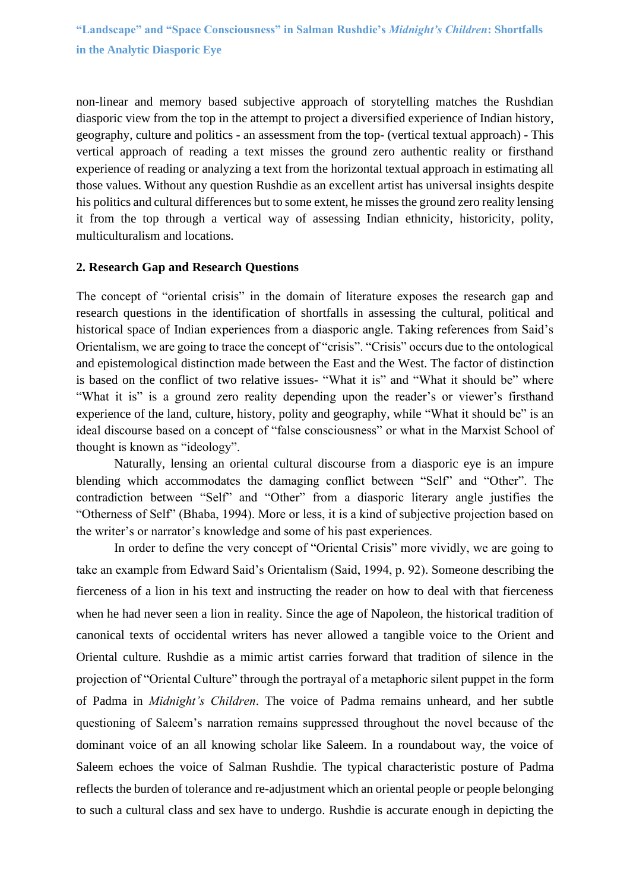non-linear and memory based subjective approach of storytelling matches the Rushdian diasporic view from the top in the attempt to project a diversified experience of Indian history, geography, culture and politics - an assessment from the top- (vertical textual approach) - This vertical approach of reading a text misses the ground zero authentic reality or firsthand experience of reading or analyzing a text from the horizontal textual approach in estimating all those values. Without any question Rushdie as an excellent artist has universal insights despite his politics and cultural differences but to some extent, he misses the ground zero reality lensing it from the top through a vertical way of assessing Indian ethnicity, historicity, polity, multiculturalism and locations.

### **2. Research Gap and Research Questions**

The concept of "oriental crisis" in the domain of literature exposes the research gap and research questions in the identification of shortfalls in assessing the cultural, political and historical space of Indian experiences from a diasporic angle. Taking references from Said's Orientalism, we are going to trace the concept of "crisis". "Crisis" occurs due to the ontological and epistemological distinction made between the East and the West. The factor of distinction is based on the conflict of two relative issues- "What it is" and "What it should be" where "What it is" is a ground zero reality depending upon the reader's or viewer's firsthand experience of the land, culture, history, polity and geography, while "What it should be" is an ideal discourse based on a concept of "false consciousness" or what in the Marxist School of thought is known as "ideology".

Naturally, lensing an oriental cultural discourse from a diasporic eye is an impure blending which accommodates the damaging conflict between "Self" and "Other". The contradiction between "Self" and "Other" from a diasporic literary angle justifies the "Otherness of Self" (Bhaba, 1994). More or less, it is a kind of subjective projection based on the writer's or narrator's knowledge and some of his past experiences.

In order to define the very concept of "Oriental Crisis" more vividly, we are going to take an example from Edward Said's Orientalism (Said, 1994, p. 92). Someone describing the fierceness of a lion in his text and instructing the reader on how to deal with that fierceness when he had never seen a lion in reality. Since the age of Napoleon, the historical tradition of canonical texts of occidental writers has never allowed a tangible voice to the Orient and Oriental culture. Rushdie as a mimic artist carries forward that tradition of silence in the projection of "Oriental Culture" through the portrayal of a metaphoric silent puppet in the form of Padma in *Midnight's Children*. The voice of Padma remains unheard, and her subtle questioning of Saleem's narration remains suppressed throughout the novel because of the dominant voice of an all knowing scholar like Saleem. In a roundabout way, the voice of Saleem echoes the voice of Salman Rushdie. The typical characteristic posture of Padma reflects the burden of tolerance and re-adjustment which an oriental people or people belonging to such a cultural class and sex have to undergo. Rushdie is accurate enough in depicting the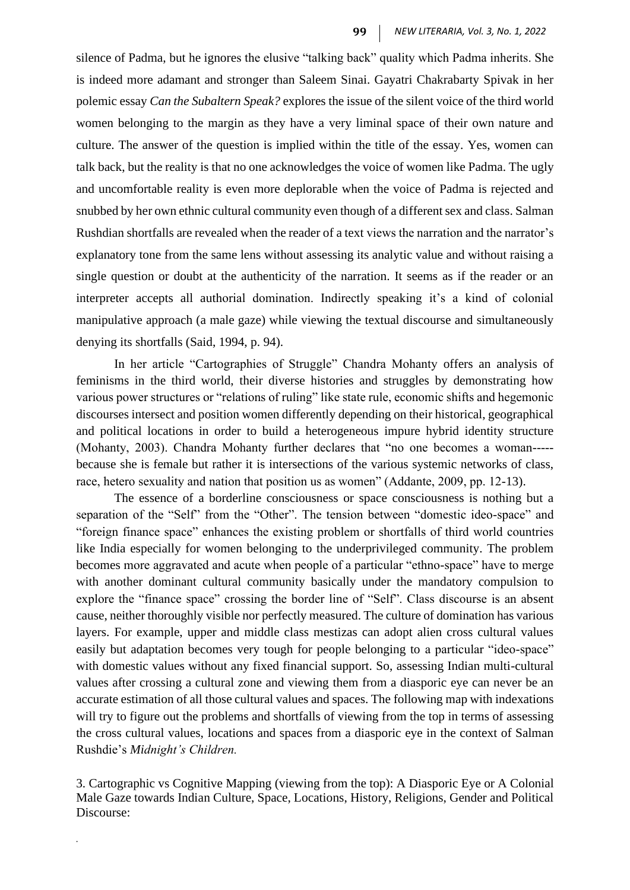silence of Padma, but he ignores the elusive "talking back" quality which Padma inherits. She is indeed more adamant and stronger than Saleem Sinai. Gayatri Chakrabarty Spivak in her polemic essay *Can the Subaltern Speak?* explores the issue of the silent voice of the third world women belonging to the margin as they have a very liminal space of their own nature and culture. The answer of the question is implied within the title of the essay. Yes, women can talk back, but the reality is that no one acknowledges the voice of women like Padma. The ugly and uncomfortable reality is even more deplorable when the voice of Padma is rejected and snubbed by her own ethnic cultural community even though of a different sex and class. Salman Rushdian shortfalls are revealed when the reader of a text views the narration and the narrator's explanatory tone from the same lens without assessing its analytic value and without raising a single question or doubt at the authenticity of the narration. It seems as if the reader or an interpreter accepts all authorial domination. Indirectly speaking it's a kind of colonial manipulative approach (a male gaze) while viewing the textual discourse and simultaneously denying its shortfalls (Said, 1994, p. 94).

In her article "Cartographies of Struggle" Chandra Mohanty offers an analysis of feminisms in the third world, their diverse histories and struggles by demonstrating how various power structures or "relations of ruling" like state rule, economic shifts and hegemonic discourses intersect and position women differently depending on their historical, geographical and political locations in order to build a heterogeneous impure hybrid identity structure (Mohanty, 2003). Chandra Mohanty further declares that "no one becomes a woman---- because she is female but rather it is intersections of the various systemic networks of class, race, hetero sexuality and nation that position us as women" (Addante, 2009, pp. 12-13).

The essence of a borderline consciousness or space consciousness is nothing but a separation of the "Self" from the "Other". The tension between "domestic ideo-space" and "foreign finance space" enhances the existing problem or shortfalls of third world countries like India especially for women belonging to the underprivileged community. The problem becomes more aggravated and acute when people of a particular "ethno-space" have to merge with another dominant cultural community basically under the mandatory compulsion to explore the "finance space" crossing the border line of "Self". Class discourse is an absent cause, neither thoroughly visible nor perfectly measured. The culture of domination has various layers. For example, upper and middle class mestizas can adopt alien cross cultural values easily but adaptation becomes very tough for people belonging to a particular "ideo-space" with domestic values without any fixed financial support. So, assessing Indian multi-cultural values after crossing a cultural zone and viewing them from a diasporic eye can never be an accurate estimation of all those cultural values and spaces. The following map with indexations will try to figure out the problems and shortfalls of viewing from the top in terms of assessing the cross cultural values, locations and spaces from a diasporic eye in the context of Salman Rushdie's *Midnight's Children.*

3. Cartographic vs Cognitive Mapping (viewing from the top): A Diasporic Eye or A Colonial Male Gaze towards Indian Culture, Space, Locations, History, Religions, Gender and Political Discourse: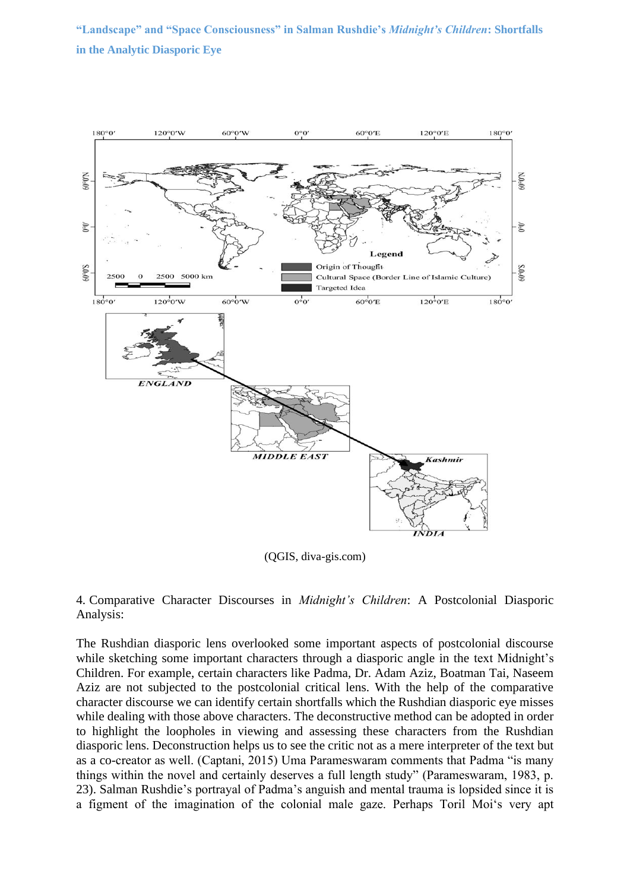

(QGIS, diva-gis.com)

4. Comparative Character Discourses in *Midnight's Children*: A Postcolonial Diasporic Analysis:

The Rushdian diasporic lens overlooked some important aspects of postcolonial discourse while sketching some important characters through a diasporic angle in the text Midnight's Children. For example, certain characters like Padma, Dr. Adam Aziz, Boatman Tai, Naseem Aziz are not subjected to the postcolonial critical lens. With the help of the comparative character discourse we can identify certain shortfalls which the Rushdian diasporic eye misses while dealing with those above characters. The deconstructive method can be adopted in order to highlight the loopholes in viewing and assessing these characters from the Rushdian diasporic lens. Deconstruction helps us to see the critic not as a mere interpreter of the text but as a co-creator as well. (Captani, 2015) Uma Parameswaram comments that Padma "is many things within the novel and certainly deserves a full length study" (Parameswaram, 1983, p. 23). Salman Rushdie's portrayal of Padma's anguish and mental trauma is lopsided since it is a figment of the imagination of the colonial male gaze. Perhaps Toril Moi's very apt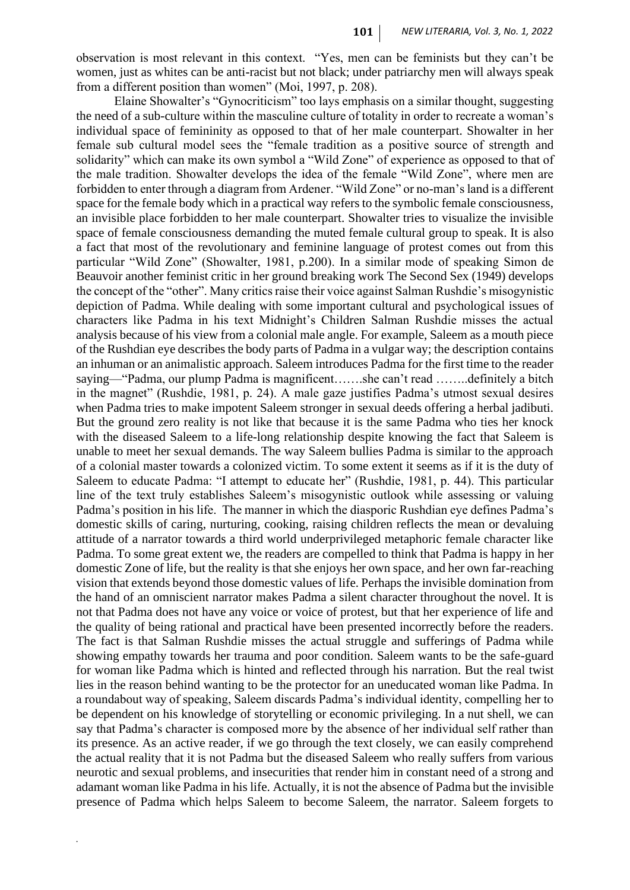observation is most relevant in this context. "Yes, men can be feminists but they can't be women, just as whites can be anti-racist but not black; under patriarchy men will always speak from a different position than women" (Moi, 1997, p. 208).

Elaine Showalter's "Gynocriticism" too lays emphasis on a similar thought, suggesting the need of a sub-culture within the masculine culture of totality in order to recreate a woman's individual space of femininity as opposed to that of her male counterpart. Showalter in her female sub cultural model sees the "female tradition as a positive source of strength and solidarity" which can make its own symbol a "Wild Zone" of experience as opposed to that of the male tradition. Showalter develops the idea of the female "Wild Zone", where men are forbidden to enter through a diagram from Ardener. "Wild Zone" or no-man's land is a different space for the female body which in a practical way refers to the symbolic female consciousness, an invisible place forbidden to her male counterpart. Showalter tries to visualize the invisible space of female consciousness demanding the muted female cultural group to speak. It is also a fact that most of the revolutionary and feminine language of protest comes out from this particular "Wild Zone" (Showalter, 1981, p.200). In a similar mode of speaking Simon de Beauvoir another feminist critic in her ground breaking work The Second Sex (1949) develops the concept of the "other". Many critics raise their voice against Salman Rushdie's misogynistic depiction of Padma. While dealing with some important cultural and psychological issues of characters like Padma in his text Midnight's Children Salman Rushdie misses the actual analysis because of his view from a colonial male angle. For example, Saleem as a mouth piece of the Rushdian eye describes the body parts of Padma in a vulgar way; the description contains an inhuman or an animalistic approach. Saleem introduces Padma for the first time to the reader saying—"Padma, our plump Padma is magnificent…….she can't read ……..definitely a bitch in the magnet" (Rushdie, 1981, p. 24). A male gaze justifies Padma's utmost sexual desires when Padma tries to make impotent Saleem stronger in sexual deeds offering a herbal jadibuti. But the ground zero reality is not like that because it is the same Padma who ties her knock with the diseased Saleem to a life-long relationship despite knowing the fact that Saleem is unable to meet her sexual demands. The way Saleem bullies Padma is similar to the approach of a colonial master towards a colonized victim. To some extent it seems as if it is the duty of Saleem to educate Padma: "I attempt to educate her" (Rushdie, 1981, p. 44). This particular line of the text truly establishes Saleem's misogynistic outlook while assessing or valuing Padma's position in his life. The manner in which the diasporic Rushdian eye defines Padma's domestic skills of caring, nurturing, cooking, raising children reflects the mean or devaluing attitude of a narrator towards a third world underprivileged metaphoric female character like Padma. To some great extent we, the readers are compelled to think that Padma is happy in her domestic Zone of life, but the reality is that she enjoys her own space, and her own far-reaching vision that extends beyond those domestic values of life. Perhaps the invisible domination from the hand of an omniscient narrator makes Padma a silent character throughout the novel. It is not that Padma does not have any voice or voice of protest, but that her experience of life and the quality of being rational and practical have been presented incorrectly before the readers. The fact is that Salman Rushdie misses the actual struggle and sufferings of Padma while showing empathy towards her trauma and poor condition. Saleem wants to be the safe-guard for woman like Padma which is hinted and reflected through his narration. But the real twist lies in the reason behind wanting to be the protector for an uneducated woman like Padma. In a roundabout way of speaking, Saleem discards Padma's individual identity, compelling her to be dependent on his knowledge of storytelling or economic privileging. In a nut shell, we can say that Padma's character is composed more by the absence of her individual self rather than its presence. As an active reader, if we go through the text closely, we can easily comprehend the actual reality that it is not Padma but the diseased Saleem who really suffers from various neurotic and sexual problems, and insecurities that render him in constant need of a strong and adamant woman like Padma in his life. Actually, it is not the absence of Padma but the invisible presence of Padma which helps Saleem to become Saleem, the narrator. Saleem forgets to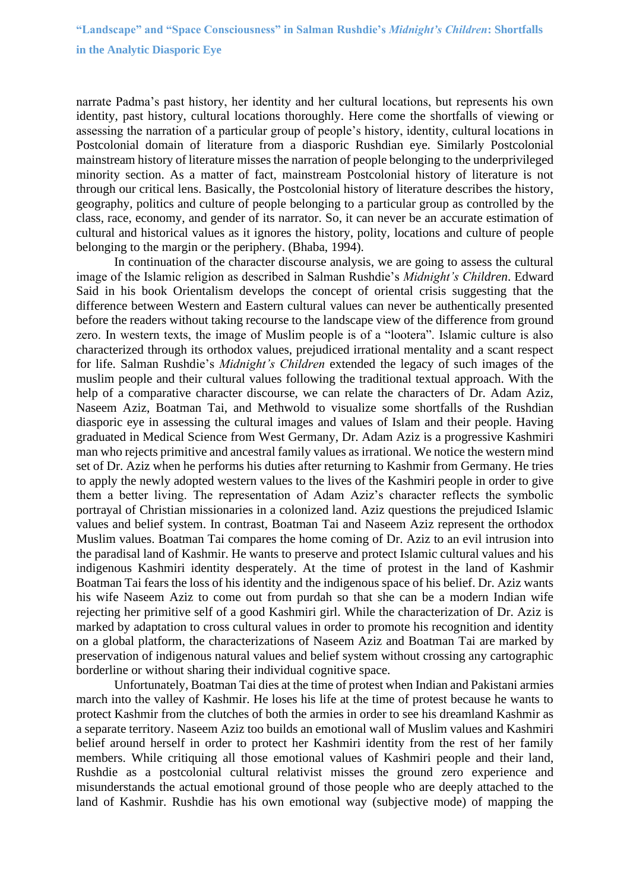narrate Padma's past history, her identity and her cultural locations, but represents his own identity, past history, cultural locations thoroughly. Here come the shortfalls of viewing or assessing the narration of a particular group of people's history, identity, cultural locations in Postcolonial domain of literature from a diasporic Rushdian eye. Similarly Postcolonial mainstream history of literature misses the narration of people belonging to the underprivileged minority section. As a matter of fact, mainstream Postcolonial history of literature is not through our critical lens. Basically, the Postcolonial history of literature describes the history, geography, politics and culture of people belonging to a particular group as controlled by the class, race, economy, and gender of its narrator. So, it can never be an accurate estimation of cultural and historical values as it ignores the history, polity, locations and culture of people belonging to the margin or the periphery. (Bhaba, 1994).

In continuation of the character discourse analysis, we are going to assess the cultural image of the Islamic religion as described in Salman Rushdie's *Midnight's Children*. Edward Said in his book Orientalism develops the concept of oriental crisis suggesting that the difference between Western and Eastern cultural values can never be authentically presented before the readers without taking recourse to the landscape view of the difference from ground zero. In western texts, the image of Muslim people is of a "lootera". Islamic culture is also characterized through its orthodox values, prejudiced irrational mentality and a scant respect for life. Salman Rushdie's *Midnight's Children* extended the legacy of such images of the muslim people and their cultural values following the traditional textual approach. With the help of a comparative character discourse, we can relate the characters of Dr. Adam Aziz, Naseem Aziz, Boatman Tai, and Methwold to visualize some shortfalls of the Rushdian diasporic eye in assessing the cultural images and values of Islam and their people. Having graduated in Medical Science from West Germany, Dr. Adam Aziz is a progressive Kashmiri man who rejects primitive and ancestral family values as irrational. We notice the western mind set of Dr. Aziz when he performs his duties after returning to Kashmir from Germany. He tries to apply the newly adopted western values to the lives of the Kashmiri people in order to give them a better living. The representation of Adam Aziz's character reflects the symbolic portrayal of Christian missionaries in a colonized land. Aziz questions the prejudiced Islamic values and belief system. In contrast, Boatman Tai and Naseem Aziz represent the orthodox Muslim values. Boatman Tai compares the home coming of Dr. Aziz to an evil intrusion into the paradisal land of Kashmir. He wants to preserve and protect Islamic cultural values and his indigenous Kashmiri identity desperately. At the time of protest in the land of Kashmir Boatman Tai fears the loss of his identity and the indigenous space of his belief. Dr. Aziz wants his wife Naseem Aziz to come out from purdah so that she can be a modern Indian wife rejecting her primitive self of a good Kashmiri girl. While the characterization of Dr. Aziz is marked by adaptation to cross cultural values in order to promote his recognition and identity on a global platform, the characterizations of Naseem Aziz and Boatman Tai are marked by preservation of indigenous natural values and belief system without crossing any cartographic borderline or without sharing their individual cognitive space.

Unfortunately, Boatman Tai dies at the time of protest when Indian and Pakistani armies march into the valley of Kashmir. He loses his life at the time of protest because he wants to protect Kashmir from the clutches of both the armies in order to see his dreamland Kashmir as a separate territory. Naseem Aziz too builds an emotional wall of Muslim values and Kashmiri belief around herself in order to protect her Kashmiri identity from the rest of her family members. While critiquing all those emotional values of Kashmiri people and their land, Rushdie as a postcolonial cultural relativist misses the ground zero experience and misunderstands the actual emotional ground of those people who are deeply attached to the land of Kashmir. Rushdie has his own emotional way (subjective mode) of mapping the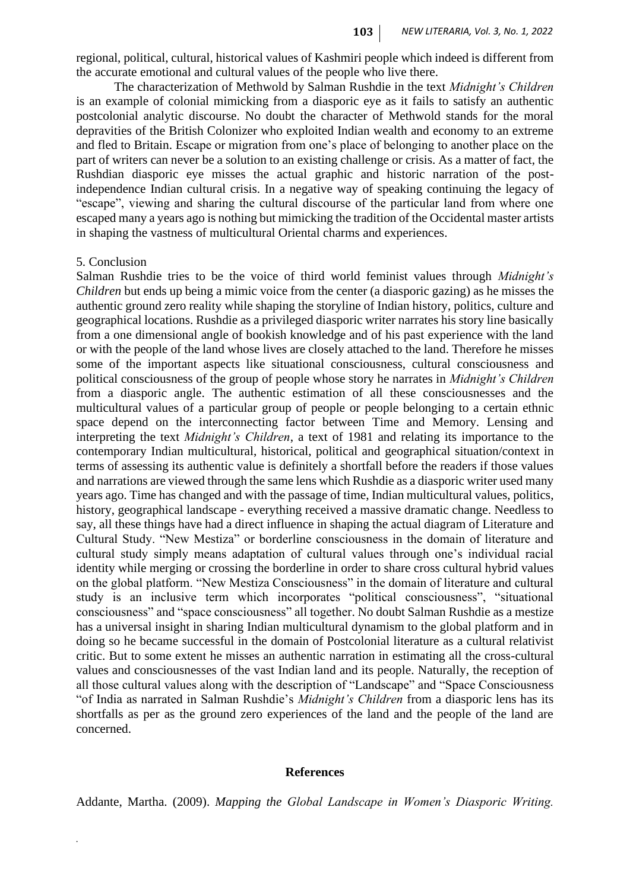regional, political, cultural, historical values of Kashmiri people which indeed is different from the accurate emotional and cultural values of the people who live there.

The characterization of Methwold by Salman Rushdie in the text *Midnight's Children* is an example of colonial mimicking from a diasporic eye as it fails to satisfy an authentic postcolonial analytic discourse. No doubt the character of Methwold stands for the moral depravities of the British Colonizer who exploited Indian wealth and economy to an extreme and fled to Britain. Escape or migration from one's place of belonging to another place on the part of writers can never be a solution to an existing challenge or crisis. As a matter of fact, the Rushdian diasporic eye misses the actual graphic and historic narration of the postindependence Indian cultural crisis. In a negative way of speaking continuing the legacy of "escape", viewing and sharing the cultural discourse of the particular land from where one escaped many a years ago is nothing but mimicking the tradition of the Occidental master artists in shaping the vastness of multicultural Oriental charms and experiences.

#### 5. Conclusion

*.*

Salman Rushdie tries to be the voice of third world feminist values through *Midnight's Children* but ends up being a mimic voice from the center (a diasporic gazing) as he misses the authentic ground zero reality while shaping the storyline of Indian history, politics, culture and geographical locations. Rushdie as a privileged diasporic writer narrates his story line basically from a one dimensional angle of bookish knowledge and of his past experience with the land or with the people of the land whose lives are closely attached to the land. Therefore he misses some of the important aspects like situational consciousness, cultural consciousness and political consciousness of the group of people whose story he narrates in *Midnight's Children* from a diasporic angle. The authentic estimation of all these consciousnesses and the multicultural values of a particular group of people or people belonging to a certain ethnic space depend on the interconnecting factor between Time and Memory. Lensing and interpreting the text *Midnight's Children*, a text of 1981 and relating its importance to the contemporary Indian multicultural, historical, political and geographical situation/context in terms of assessing its authentic value is definitely a shortfall before the readers if those values and narrations are viewed through the same lens which Rushdie as a diasporic writer used many years ago. Time has changed and with the passage of time, Indian multicultural values, politics, history, geographical landscape - everything received a massive dramatic change. Needless to say, all these things have had a direct influence in shaping the actual diagram of Literature and Cultural Study. "New Mestiza" or borderline consciousness in the domain of literature and cultural study simply means adaptation of cultural values through one's individual racial identity while merging or crossing the borderline in order to share cross cultural hybrid values on the global platform. "New Mestiza Consciousness" in the domain of literature and cultural study is an inclusive term which incorporates "political consciousness", "situational consciousness" and "space consciousness" all together. No doubt Salman Rushdie as a mestize has a universal insight in sharing Indian multicultural dynamism to the global platform and in doing so he became successful in the domain of Postcolonial literature as a cultural relativist critic. But to some extent he misses an authentic narration in estimating all the cross-cultural values and consciousnesses of the vast Indian land and its people. Naturally, the reception of all those cultural values along with the description of "Landscape" and "Space Consciousness "of India as narrated in Salman Rushdie's *Midnight's Children* from a diasporic lens has its shortfalls as per as the ground zero experiences of the land and the people of the land are concerned.

#### **References**

Addante, Martha. (2009). *Mapping the Global Landscape in Women's Diasporic Writing.*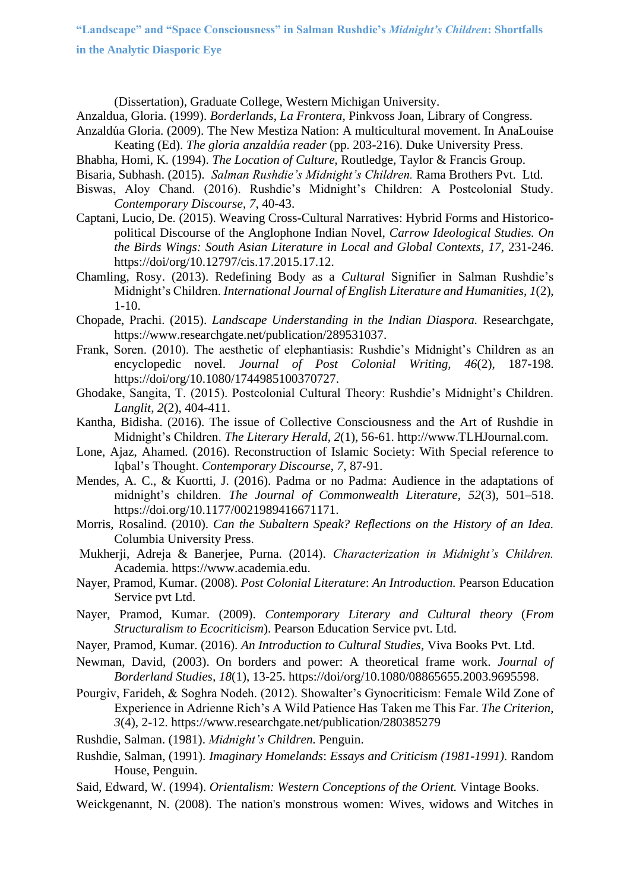**"Landscape" and "Space Consciousness" in Salman Rushdie's** *Midnight's Children***: Shortfalls** 

**in the Analytic Diasporic Eye**

(Dissertation), Graduate College, Western Michigan University.

Anzaldua, Gloria. (1999). *Borderlands*, *La Frontera,* Pinkvoss Joan, Library of Congress.

- Anzaldúa Gloria. (2009). The New Mestiza Nation: A multicultural movement. In AnaLouise Keating (Ed). *The gloria anzaldúa reader* (pp. 203-216). Duke University Press.
- Bhabha, Homi, K. (1994). *The Location of Culture,* Routledge, Taylor & Francis Group.
- Bisaria, Subhash. (2015). *Salman Rushdie's Midnight's Children.* Rama Brothers Pvt. Ltd.
- Biswas, Aloy Chand. (2016). Rushdie's Midnight's Children: A Postcolonial Study. *Contemporary Discourse*, *7*, 40-43.
- Captani, Lucio, De. (2015). Weaving Cross-Cultural Narratives: Hybrid Forms and Historicopolitical Discourse of the Anglophone Indian Novel, *Carrow Ideological Studies. On the Birds Wings: South Asian Literature in Local and Global Contexts*, *17*, 231-246. [https://doi/org/10.12797/cis.17.2015.17.12.](https://doi/org/10.12797/cis.17.2015.17.12)
- Chamling, Rosy. (2013). Redefining Body as a *Cultural* Signifier in Salman Rushdie's Midnight's Children. *International Journal of English Literature and Humanities*, *1*(2), 1-10.
- Chopade, Prachi. (2015). *Landscape Understanding in the Indian Diaspora.* Researchgate, [https://www.researchgate.net/publication/289531037.](https://www.researchgate.net/publication/289531037)
- Frank, Soren. (2010). The aesthetic of elephantiasis: Rushdie's Midnight's Children as an encyclopedic novel. *Journal of Post Colonial Writing, 46*(2), 187-198. <https://doi/org/10.1080/1744985100370727.>
- Ghodake, Sangita, T. (2015). Postcolonial Cultural Theory: Rushdie's Midnight's Children. *Langlit*, *2*(2), 404-411.
- Kantha, Bidisha. (2016). The issue of Collective Consciousness and the Art of Rushdie in Midnight's Children. *The Literary Herald*, *2*(1), 56-61. [http://www.TLHJournal.com.](http://www.tlhjournal.com/)
- Lone, Ajaz, Ahamed. (2016). Reconstruction of Islamic Society: With Special reference to Iqbal's Thought. *Contemporary Discourse*, *7*, 87-91.
- Mendes, A. C., & Kuortti, J. (2016). Padma or no Padma: Audience in the adaptations of midnight's children. *The Journal of Commonwealth Literature*, *52*(3), 501–518. <https://doi.org/10.1177/0021989416671171.>
- Morris, Rosalind. (2010). *Can the Subaltern Speak? Reflections on the History of an Idea.* Columbia University Press.
- Mukherji, Adreja & Banerjee, Purna. (2014). *Characterization in Midnight's Children.*  Academia. [https://www.academia.edu.](https://www.academia.edu/)
- Nayer, Pramod, Kumar. (2008). *Post Colonial Literature*: *An Introduction.* Pearson Education Service pvt Ltd.
- Nayer, Pramod, Kumar. (2009). *Contemporary Literary and Cultural theory* (*From Structuralism to Ecocriticism*). Pearson Education Service pvt. Ltd.
- Nayer, Pramod, Kumar. (2016). *An Introduction to Cultural Studies*, Viva Books Pvt. Ltd.
- Newman, David, (2003). On borders and power: A theoretical frame work. *Journal of Borderland Studies, 18*(1), 13-25.<https://doi/org/10.1080/08865655.2003.9695598.>
- Pourgiv, Farideh, & Soghra Nodeh. (2012). Showalter's Gynocriticism: Female Wild Zone of Experience in Adrienne Rich's A Wild Patience Has Taken me This Far. *The Criterion*, *3*(4), 2-12.<https://www.researchgate.net/publication/280385279>
- Rushdie, Salman. (1981). *Midnight's Children.* Penguin.
- Rushdie, Salman, (1991). *Imaginary Homelands*: *Essays and Criticism (1981-1991).* Random House, Penguin.
- Said, Edward, W. (1994). *Orientalism: Western Conceptions of the Orient.* Vintage Books.
- Weickgenannt, N. (2008). The nation's monstrous women: Wives, widows and Witches in